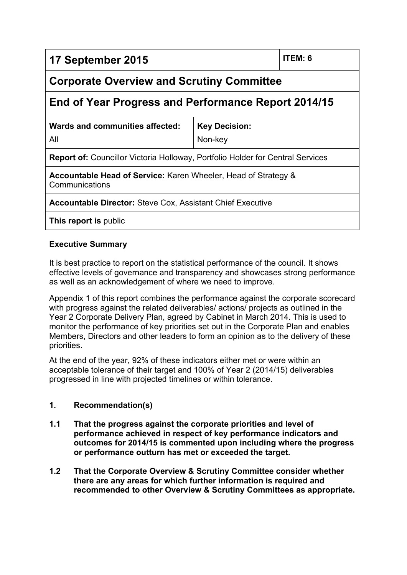| 17 September 2015                                                                     | ITEM: 6                         |  |  |  |  |
|---------------------------------------------------------------------------------------|---------------------------------|--|--|--|--|
| <b>Corporate Overview and Scrutiny Committee</b>                                      |                                 |  |  |  |  |
| End of Year Progress and Performance Report 2014/15                                   |                                 |  |  |  |  |
| Wards and communities affected:<br>All                                                | <b>Key Decision:</b><br>Non-key |  |  |  |  |
| <b>Report of:</b> Councillor Victoria Holloway, Portfolio Holder for Central Services |                                 |  |  |  |  |
| Accountable Head of Service: Karen Wheeler, Head of Strategy &<br>Communications      |                                 |  |  |  |  |
| <b>Accountable Director:</b> Steve Cox, Assistant Chief Executive                     |                                 |  |  |  |  |
| This report is public                                                                 |                                 |  |  |  |  |

# **Executive Summary**

It is best practice to report on the statistical performance of the council. It shows effective levels of governance and transparency and showcases strong performance as well as an acknowledgement of where we need to improve.

Appendix 1 of this report combines the performance against the corporate scorecard with progress against the related deliverables/ actions/ projects as outlined in the Year 2 Corporate Delivery Plan, agreed by Cabinet in March 2014. This is used to monitor the performance of key priorities set out in the Corporate Plan and enables Members, Directors and other leaders to form an opinion as to the delivery of these priorities.

At the end of the year, 92% of these indicators either met or were within an acceptable tolerance of their target and 100% of Year 2 (2014/15) deliverables progressed in line with projected timelines or within tolerance.

#### **1. Recommendation(s)**

- **1.1 That the progress against the corporate priorities and level of performance achieved in respect of key performance indicators and outcomes for 2014/15 is commented upon including where the progress or performance outturn has met or exceeded the target.**
- **1.2 That the Corporate Overview & Scrutiny Committee consider whether there are any areas for which further information is required and recommended to other Overview & Scrutiny Committees as appropriate.**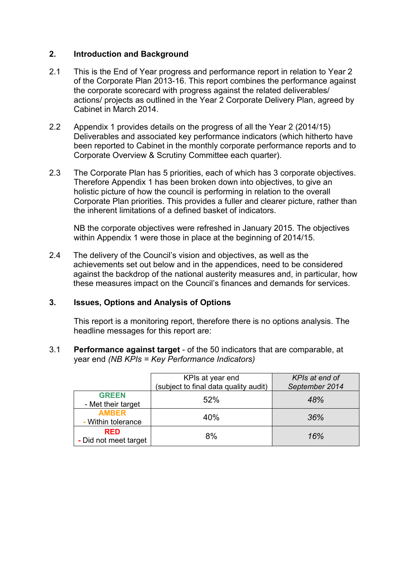#### **2. Introduction and Background**

- 2.1 This is the End of Year progress and performance report in relation to Year 2 of the Corporate Plan 2013-16. This report combines the performance against the corporate scorecard with progress against the related deliverables/ actions/ projects as outlined in the Year 2 Corporate Delivery Plan, agreed by Cabinet in March 2014.
- 2.2 Appendix 1 provides details on the progress of all the Year 2 (2014/15) Deliverables and associated key performance indicators (which hitherto have been reported to Cabinet in the monthly corporate performance reports and to Corporate Overview & Scrutiny Committee each quarter).
- 2.3 The Corporate Plan has 5 priorities, each of which has 3 corporate objectives. Therefore Appendix 1 has been broken down into objectives, to give an holistic picture of how the council is performing in relation to the overall Corporate Plan priorities. This provides a fuller and clearer picture, rather than the inherent limitations of a defined basket of indicators.

NB the corporate objectives were refreshed in January 2015. The objectives within Appendix 1 were those in place at the beginning of 2014/15.

2.4 The delivery of the Council's vision and objectives, as well as the achievements set out below and in the appendices, need to be considered against the backdrop of the national austerity measures and, in particular, how these measures impact on the Council's finances and demands for services.

# **3. Issues, Options and Analysis of Options**

This report is a monitoring report, therefore there is no options analysis. The headline messages for this report are:

3.1 **Performance against target** - of the 50 indicators that are comparable, at year end *(NB KPIs = Key Performance Indicators)*

|                                     | KPIs at year end<br>(subject to final data quality audit) | KPIs at end of<br>September 2014 |
|-------------------------------------|-----------------------------------------------------------|----------------------------------|
| <b>GREEN</b><br>- Met their target  | 52%                                                       | 48%                              |
| <b>AMBER</b><br>- Within tolerance  | 40%                                                       | 36%                              |
| <b>RED</b><br>- Did not meet target | 8%                                                        | 16%                              |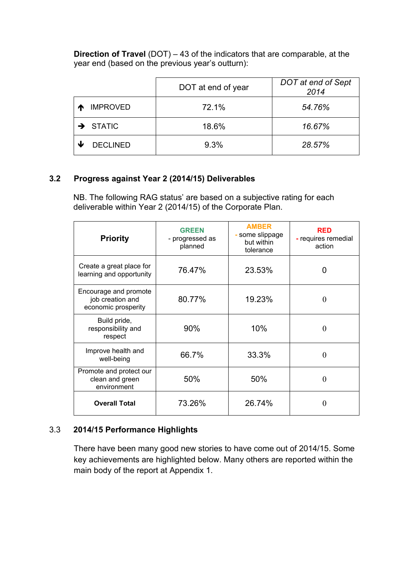**Direction of Travel** (DOT) – 43 of the indicators that are comparable, at the year end (based on the previous year's outturn):

|                      | DOT at end of year | DOT at end of Sept<br>2014 |  |  |  |
|----------------------|--------------------|----------------------------|--|--|--|
| <b>IMPROVED</b>      | 72.1%              | 54.76%                     |  |  |  |
| $\rightarrow$ STATIC | 18.6%              | 16.67%                     |  |  |  |
| <b>DECLINED</b>      | 9.3%               | 28.57%                     |  |  |  |

# **3.2 Progress against Year 2 (2014/15) Deliverables**

NB. The following RAG status' are based on a subjective rating for each deliverable within Year 2 (2014/15) of the Corporate Plan.

| <b>Priority</b>                                                  | <b>GREEN</b><br>- progressed as<br>planned | <b>AMBER</b><br>- some slippage<br>but within<br>tolerance | <b>RED</b><br>- requires remedial<br>action |  |  |
|------------------------------------------------------------------|--------------------------------------------|------------------------------------------------------------|---------------------------------------------|--|--|
| Create a great place for<br>learning and opportunity             | 76.47%                                     | 23.53%                                                     | 0                                           |  |  |
| Encourage and promote<br>job creation and<br>economic prosperity | 80.77%                                     | 19.23%                                                     | $\theta$                                    |  |  |
| Build pride,<br>responsibility and<br>respect                    | 90%                                        | 10%                                                        | $\theta$                                    |  |  |
| Improve health and<br>well-being                                 | 66.7%                                      | 33.3%                                                      | 0                                           |  |  |
| Promote and protect our<br>clean and green<br>environment        | 50%                                        | 50%                                                        | 0                                           |  |  |
| <b>Overall Total</b>                                             | 73.26%<br>26.74%                           |                                                            | 0                                           |  |  |

# 3.3 **2014/15 Performance Highlights**

There have been many good new stories to have come out of 2014/15. Some key achievements are highlighted below. Many others are reported within the main body of the report at Appendix 1.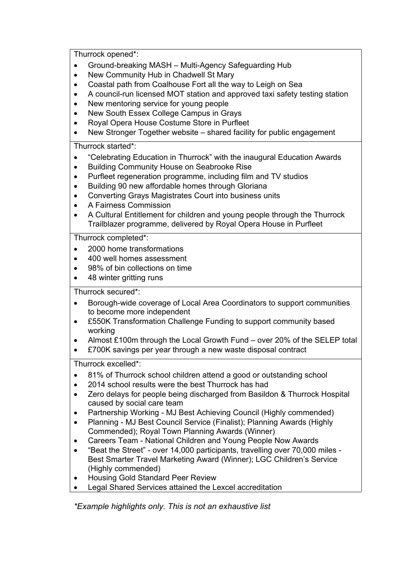Thurrock opened\*:

- Ground-breaking MASH Multi-Agency Safeguarding Hub
- New Community Hub in Chadwell St Mary
- Coastal path from Coalhouse Fort all the way to Leigh on Sea
- A council-run licensed MOT station and approved taxi safety testing station
- New mentoring service for young people
- New South Essex College Campus in Grays
- Royal Opera House Costume Store in Purfleet
- New Stronger Together website shared facility for public engagement

Thurrock started\*:

- "Celebrating Education in Thurrock" with the inaugural Education Awards
- Building Community House on Seabrooke Rise
- Purfleet regeneration programme, including film and TV studios
- Building 90 new affordable homes through Gloriana
- Converting Grays Magistrates Court into business units
- A Fairness Commission
- A Cultural Entitlement for children and young people through the Thurrock Trailblazer programme, delivered by Royal Opera House in Purfleet

Thurrock completed\*:

- 2000 home transformations
- 400 well homes assessment
- 98% of bin collections on time
- 48 winter gritting runs

Thurrock secured\*:

- Borough-wide coverage of Local Area Coordinators to support communities to become more independent
- £550K Transformation Challenge Funding to support community based working
- Almost £100m through the Local Growth Fund over 20% of the SELEP total
- £700K savings per year through a new waste disposal contract

Thurrock excelled\*:

- 81% of Thurrock school children attend a good or outstanding school
- 2014 school results were the best Thurrock has had
- Zero delays for people being discharged from Basildon & Thurrock Hospital caused by social care team
- Partnership Working MJ Best Achieving Council (Highly commended)
- Planning MJ Best Council Service (Finalist); Planning Awards (Highly Commended); Royal Town Planning Awards (Winner)
- Careers Team National Children and Young People Now Awards
- "Beat the Street" over 14,000 participants, travelling over 70,000 miles Best Smarter Travel Marketing Award (Winner); LGC Children's Service (Highly commended)
- Housing Gold Standard Peer Review
- Legal Shared Services attained the Lexcel accreditation

*\*Example highlights only. This is not an exhaustive list*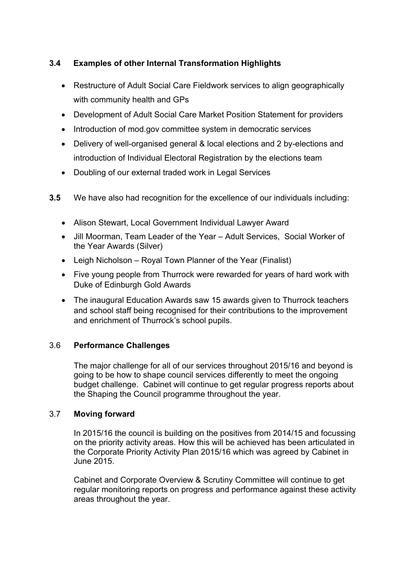# **3.4 Examples of other Internal Transformation Highlights**

- Restructure of Adult Social Care Fieldwork services to align geographically with community health and GPs
- Development of Adult Social Care Market Position Statement for providers
- Introduction of mod.gov committee system in democratic services
- Delivery of well-organised general & local elections and 2 by-elections and introduction of Individual Electoral Registration by the elections team
- Doubling of our external traded work in Legal Services
- **3.5** We have also had recognition for the excellence of our individuals including:
	- Alison Stewart, Local Government Individual Lawyer Award
	- Jill Moorman, Team Leader of the Year Adult Services, Social Worker of the Year Awards (Silver)
	- Leigh Nicholson Royal Town Planner of the Year (Finalist)
	- Five young people from Thurrock were rewarded for years of hard work with Duke of Edinburgh Gold Awards
	- The inaugural Education Awards saw 15 awards given to Thurrock teachers and school staff being recognised for their contributions to the improvement and enrichment of Thurrock's school pupils.

# 3.6 **Performance Challenges**

The major challenge for all of our services throughout 2015/16 and beyond is going to be how to shape council services differently to meet the ongoing budget challenge. Cabinet will continue to get regular progress reports about the Shaping the Council programme throughout the year.

# 3.7 **Moving forward**

In 2015/16 the council is building on the positives from 2014/15 and focussing on the priority activity areas. How this will be achieved has been articulated in the Corporate Priority Activity Plan 2015/16 which was agreed by Cabinet in June 2015.

Cabinet and Corporate Overview & Scrutiny Committee will continue to get regular monitoring reports on progress and performance against these activity areas throughout the year.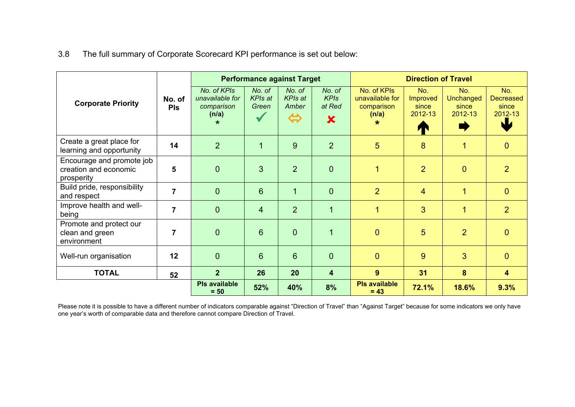3.8 The full summary of Corporate Scorecard KPI performance is set out below:

|                                                                  |                      | <b>Performance against Target</b>                                |                                   |                                                        | <b>Direction of Travel</b>                                   |                                                                  |                                          |                                      |                                                   |
|------------------------------------------------------------------|----------------------|------------------------------------------------------------------|-----------------------------------|--------------------------------------------------------|--------------------------------------------------------------|------------------------------------------------------------------|------------------------------------------|--------------------------------------|---------------------------------------------------|
| <b>Corporate Priority</b>                                        | No. of<br><b>PIs</b> | No. of KPIs<br>unavailable for<br>comparison<br>(n/a)<br>$\star$ | No. of<br><b>KPIs at</b><br>Green | No. of<br><b>KPIs at</b><br>Amber<br>$\Leftrightarrow$ | No. of<br><b>KPIs</b><br>at Red<br>$\boldsymbol{\mathsf{x}}$ | No. of KPIs<br>unavailable for<br>comparison<br>(n/a)<br>$\star$ | No.<br>Improved<br>since<br>2012-13<br>T | No.<br>Unchanged<br>since<br>2012-13 | No.<br><b>Decreased</b><br>since<br>2012-13<br>NU |
| Create a great place for<br>learning and opportunity             | 14                   | $\overline{2}$                                                   | $\mathbf{1}$                      | 9                                                      | $\overline{2}$                                               | 5                                                                | 8                                        | 1                                    | $\mathbf{0}$                                      |
| Encourage and promote job<br>creation and economic<br>prosperity | 5                    | $\overline{0}$                                                   | 3                                 | 2                                                      | $\overline{0}$                                               | $\overline{1}$                                                   | $\overline{2}$                           | $\overline{0}$                       | $\overline{2}$                                    |
| Build pride, responsibility<br>and respect                       | $\overline{7}$       | $\overline{0}$                                                   | 6                                 | $\overline{1}$                                         | $\overline{0}$                                               | $\overline{2}$                                                   | $\overline{4}$                           | 1                                    | $\mathbf{0}$                                      |
| Improve health and well-<br>being                                | $\overline{7}$       | $\overline{0}$                                                   | $\overline{4}$                    | $\overline{2}$                                         | $\overline{1}$                                               | $\overline{1}$                                                   | 3                                        | 1                                    | $\overline{2}$                                    |
| Promote and protect our<br>clean and green<br>environment        | 7                    | $\mathbf 0$                                                      | 6                                 | $\overline{0}$                                         | 1                                                            | $\overline{0}$                                                   | 5                                        | 2                                    | $\mathbf{0}$                                      |
| Well-run organisation                                            | 12                   | $\overline{0}$                                                   | 6                                 | $6\phantom{1}$                                         | $\overline{0}$                                               | $\overline{0}$                                                   | 9                                        | 3                                    | $\overline{0}$                                    |
| <b>TOTAL</b>                                                     | 52                   | 2 <sup>1</sup>                                                   | 26                                | 20                                                     | $\overline{\mathbf{4}}$                                      | 9                                                                | 31                                       | 8                                    | $\overline{\mathbf{4}}$                           |
|                                                                  |                      | <b>PIs available</b><br>$= 50$                                   | 52%                               | 40%                                                    | 8%                                                           | <b>PIs available</b><br>$= 43$                                   | 72.1%                                    | 18.6%                                | 9.3%                                              |

Please note it is possible to have a different number of indicators comparable against "Direction of Travel" than "Against Target" because for some indicators we only have one year's worth of comparable data and therefore cannot compare Direction of Travel.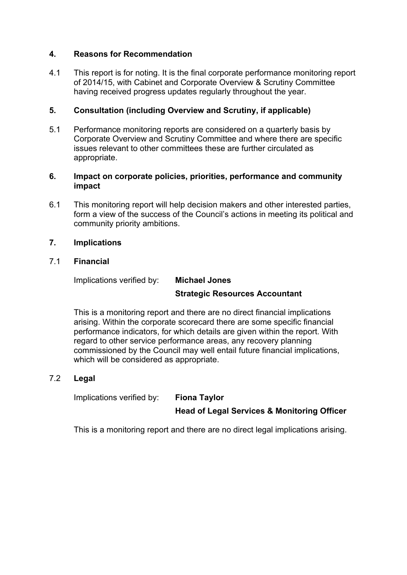#### **4. Reasons for Recommendation**

4.1 This report is for noting. It is the final corporate performance monitoring report of 2014/15, with Cabinet and Corporate Overview & Scrutiny Committee having received progress updates regularly throughout the year.

#### **5. Consultation (including Overview and Scrutiny, if applicable)**

5.1 Performance monitoring reports are considered on a quarterly basis by Corporate Overview and Scrutiny Committee and where there are specific issues relevant to other committees these are further circulated as appropriate.

#### **6. Impact on corporate policies, priorities, performance and community impact**

6.1 This monitoring report will help decision makers and other interested parties, form a view of the success of the Council's actions in meeting its political and community priority ambitions.

#### **7. Implications**

#### 7.1 **Financial**

Implications verified by: **Michael Jones**

# **Strategic Resources Accountant**

This is a monitoring report and there are no direct financial implications arising. Within the corporate scorecard there are some specific financial performance indicators, for which details are given within the report. With regard to other service performance areas, any recovery planning commissioned by the Council may well entail future financial implications, which will be considered as appropriate.

#### 7.2 **Legal**

Implications verified by: **Fiona Taylor**

**Head of Legal Services & Monitoring Officer**

This is a monitoring report and there are no direct legal implications arising.